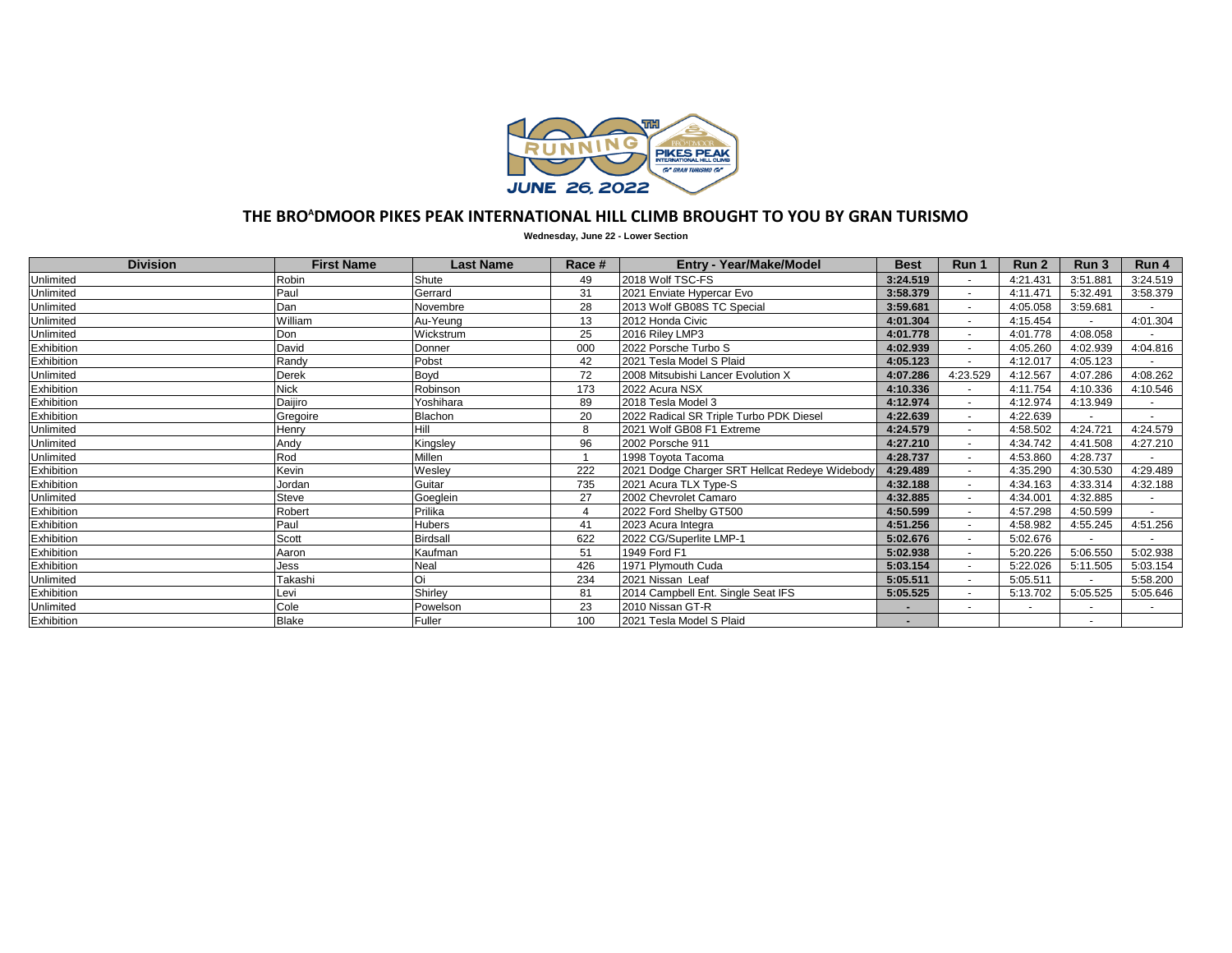

## **THE BRO<sup>A</sup>DMOOR PIKES PEAK INTERNATIONAL HILL CLIMB BROUGHT TO YOU BY GRAN TURISMO**

**Wednesday, June 22 - Lower Section**

| <b>Division</b> | <b>First Name</b> | <b>Last Name</b> | Race #         | <b>Entry - Year/Make/Model</b>                 | <b>Best</b> | Run 1                    | Run 2    | Run <sub>3</sub> | Run 4    |
|-----------------|-------------------|------------------|----------------|------------------------------------------------|-------------|--------------------------|----------|------------------|----------|
| Unlimited       | Robin             | Shute            | 49             | 2018 Wolf TSC-FS                               | 3:24.519    |                          | 4:21.431 | 3:51.881         | 3:24.519 |
| Unlimited       | Paul              | Gerrard          | 31             | 2021 Enviate Hypercar Evo                      | 3:58.379    | $\blacksquare$           | 4:11.471 | 5:32.491         | 3:58.379 |
| Unlimited       | Dan               | Novembre         | 28             | 2013 Wolf GB08S TC Special                     | 3:59.681    | $\sim$                   | 4:05.058 | 3:59.681         |          |
| Unlimited       | William           | Au-Yeung         | 13             | 2012 Honda Civic                               | 4:01.304    |                          | 4:15.454 |                  | 4:01.304 |
| Unlimited       | Don               | Wickstrum        | 25             | 2016 Riley LMP3                                | 4:01.778    | $\blacksquare$           | 4:01.778 | 4:08.058         |          |
| Exhibition      | David             | Donner           | 000            | 2022 Porsche Turbo S                           | 4:02.939    |                          | 4:05.260 | 4:02.939         | 4:04.816 |
| Exhibition      | Randy             | Pobst            | 42             | 2021 Tesla Model S Plaid                       | 4:05.123    |                          | 4:12.017 | 4:05.123         |          |
| Unlimited       | <b>Derek</b>      | Boyd             | 72             | 2008 Mitsubishi Lancer Evolution X             | 4:07.286    | 4:23.529                 | 4:12.567 | 4:07.286         | 4:08.262 |
| Exhibition      | <b>Nick</b>       | Robinson         | 173            | 2022 Acura NSX                                 | 4:10.336    | $\blacksquare$           | 4:11.754 | 4:10.336         | 4:10.546 |
| Exhibition      | Daijiro           | Yoshihara        | 89             | 2018 Tesla Model 3                             | 4:12.974    | $\overline{a}$           | 4:12.974 | 4:13.949         |          |
| Exhibition      | Gregoire          | Blachon          | 20             | 2022 Radical SR Triple Turbo PDK Diesel        | 4:22.639    | $\sim$                   | 4:22.639 |                  |          |
| Unlimited       | Henry             | Hill             | 8              | 2021 Wolf GB08 F1 Extreme                      | 4:24.579    |                          | 4:58.502 | 4:24.721         | 4:24.579 |
| Unlimited       | Andy              | Kingsley         | 96             | 2002 Porsche 911                               | 4:27.210    |                          | 4:34.742 | 4:41.508         | 4:27.210 |
| Unlimited       | Rod               | <b>Millen</b>    |                | 1998 Toyota Tacoma                             | 4:28.737    |                          | 4:53.860 | 4:28.737         |          |
| Exhibition      | Kevin             | Wesley           | 222            | 2021 Dodge Charger SRT Hellcat Redeye Widebody | 4:29.489    | $\overline{\phantom{a}}$ | 4:35.290 | 4:30.530         | 4:29.489 |
| Exhibition      | Jordan            | Guitar           | 735            | 2021 Acura TLX Type-S                          | 4:32.188    |                          | 4:34.163 | 4:33.314         | 4:32.188 |
| Unlimited       | Steve             | Goeglein         | 27             | 2002 Chevrolet Camaro                          | 4:32.885    | $\blacksquare$           | 4:34.001 | 4:32.885         |          |
| Exhibition      | Robert            | Prilika          | $\overline{4}$ | 2022 Ford Shelby GT500                         | 4:50.599    | $\blacksquare$           | 4:57.298 | 4:50.599         |          |
| Exhibition      | Paul              | <b>Hubers</b>    | 41             | 2023 Acura Integra                             | 4:51.256    |                          | 4:58.982 | 4:55.245         | 4:51.256 |
| Exhibition      | Scott             | <b>Birdsall</b>  | 622            | 2022 CG/Superlite LMP-1                        | 5:02.676    |                          | 5:02.676 |                  |          |
| Exhibition      | Aaron             | Kaufman          | 51             | 1949 Ford F1                                   | 5:02.938    | $\blacksquare$           | 5:20.226 | 5:06.550         | 5:02.938 |
| Exhibition      | Jess              | Neal             | 426            | 1971 Plymouth Cuda                             | 5:03.154    |                          | 5:22.026 | 5:11.505         | 5:03.154 |
| Unlimited       | Takashi           | Oi               | 234            | 2021 Nissan Leaf                               | 5:05.511    | $\sim$                   | 5:05.511 |                  | 5:58.200 |
| Exhibition      | Levi              | Shirley          | 81             | 2014 Campbell Ent. Single Seat IFS             | 5:05.525    |                          | 5:13.702 | 5:05.525         | 5:05.646 |
| Unlimited       | Cole              | Powelson         | 23             | 2010 Nissan GT-R                               |             | $\overline{a}$           |          |                  |          |
| Exhibition      | <b>Blake</b>      | Fuller           | 100            | 2021 Tesla Model S Plaid                       |             |                          |          |                  |          |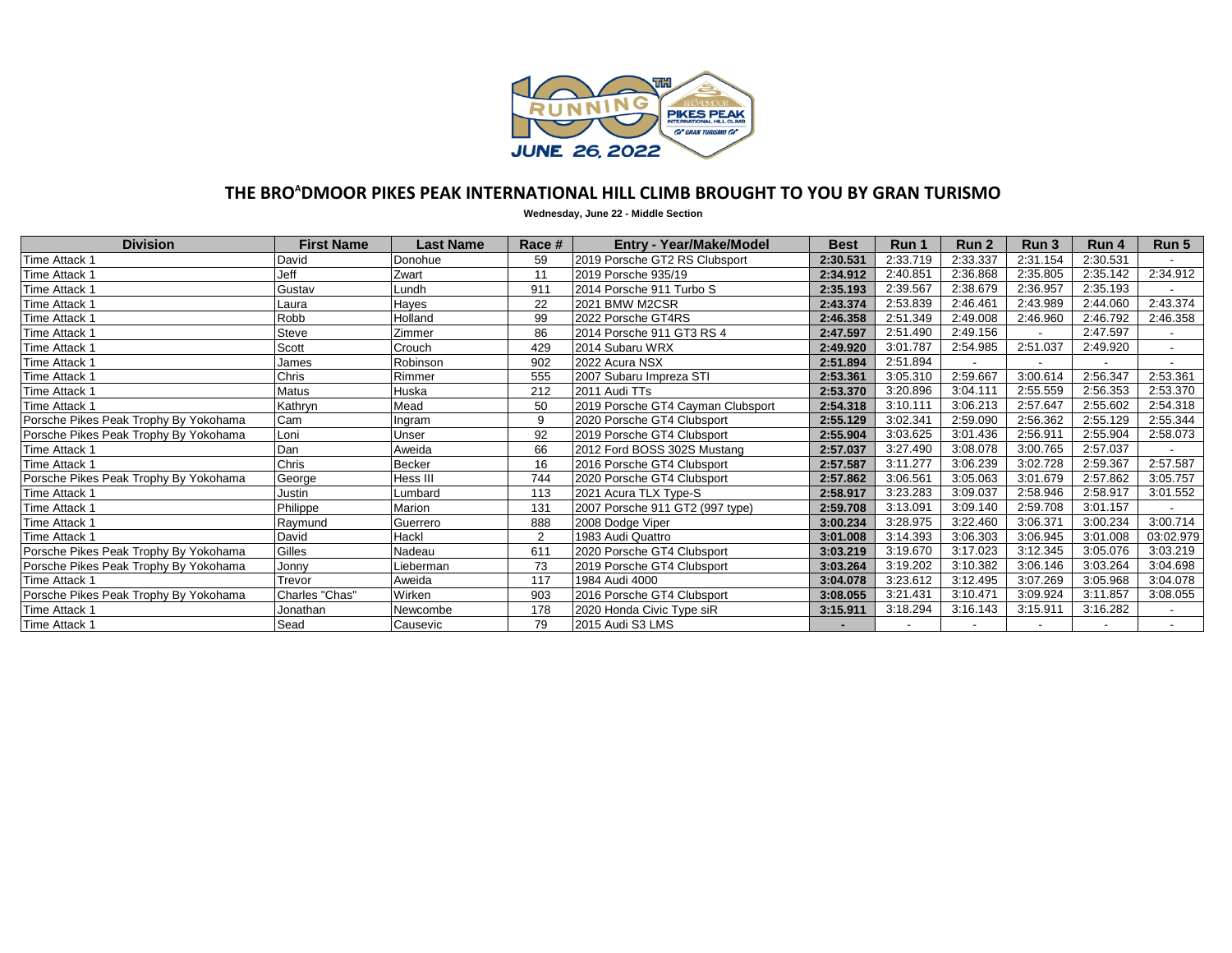

## **THE BRO<sup>A</sup>DMOOR PIKES PEAK INTERNATIONAL HILL CLIMB BROUGHT TO YOU BY GRAN TURISMO**

**Wednesday, June 22 - Middle Section**

| <b>Division</b>                       | <b>First Name</b> | Last Name | Race # | <b>Entry - Year/Make/Model</b>    | <b>Best</b> | Run 1    | Run <sub>2</sub> | Run 3    | Run 4    | Run 5     |
|---------------------------------------|-------------------|-----------|--------|-----------------------------------|-------------|----------|------------------|----------|----------|-----------|
| Time Attack 1                         | David             | Donohue   | 59     | 2019 Porsche GT2 RS Clubsport     | 2:30.531    | 2:33.719 | 2:33.337         | 2:31.154 | 2:30.531 |           |
| Time Attack 1                         | Jeff              | Zwart     | 11     | 2019 Porsche 935/19               | 2:34.912    | 2:40.851 | 2:36.868         | 2:35.805 | 2:35.142 | 2:34.912  |
| Time Attack 1                         | Gustav            | Lundh     | 911    | 2014 Porsche 911 Turbo S          | 2:35.193    | 2:39.567 | 2:38.679         | 2:36.957 | 2:35.193 |           |
| Time Attack 1                         | Laura             | Hayes     | 22     | 2021 BMW M2CSR                    | 2:43.374    | 2:53.839 | 2:46.461         | 2:43.989 | 2:44.060 | 2:43.374  |
| Time Attack 1                         | Robb              | Holland   | 99     | 2022 Porsche GT4RS                | 2:46.358    | 2:51.349 | 2:49.008         | 2:46.960 | 2:46.792 | 2:46.358  |
| Time Attack 1                         | Steve             | Zimmer    | 86     | 2014 Porsche 911 GT3 RS 4         | 2:47.597    | 2:51.490 | 2:49.156         |          | 2:47.597 |           |
| Time Attack 1                         | Scott             | Crouch    | 429    | 2014 Subaru WRX                   | 2:49.920    | 3:01.787 | 2:54.985         | 2:51.037 | 2:49.920 |           |
| Time Attack 1                         | James             | Robinson  | 902    | 2022 Acura NSX                    | 2:51.894    | 2:51.894 |                  |          |          |           |
| Time Attack 1                         | Chris             | Rimmer    | 555    | 2007 Subaru Impreza STI           | 2:53.361    | 3:05.310 | 2:59.667         | 3:00.614 | 2:56.347 | 2:53.361  |
| Time Attack 1                         | Matus             | Huska     | 212    | 2011 Audi TTs                     | 2:53.370    | 3:20.896 | 3:04.111         | 2:55.559 | 2:56.353 | 2:53.370  |
| Time Attack 1                         | Kathryn           | Mead      | 50     | 2019 Porsche GT4 Cayman Clubsport | 2:54.318    | 3:10.111 | 3:06.213         | 2:57.647 | 2:55.602 | 2:54.318  |
| Porsche Pikes Peak Trophy By Yokohama | Cam               | Ingram    | 9      | 2020 Porsche GT4 Clubsport        | 2:55.129    | 3:02.341 | 2:59.090         | 2:56.362 | 2:55.129 | 2:55.344  |
| Porsche Pikes Peak Trophy By Yokohama | Loni              | Unser     | 92     | 2019 Porsche GT4 Clubsport        | 2:55.904    | 3:03.625 | 3:01.436         | 2:56.911 | 2:55.904 | 2:58.073  |
| Time Attack 1                         | Dan               | Aweida    | 66     | 2012 Ford BOSS 302S Mustang       | 2:57.037    | 3:27.490 | 3:08.078         | 3:00.765 | 2:57.037 |           |
| Time Attack 1                         | Chris             | Becker    | 16     | 2016 Porsche GT4 Clubsport        | 2:57.587    | 3:11.277 | 3:06.239         | 3:02.728 | 2:59.367 | 2:57.587  |
| Porsche Pikes Peak Trophy By Yokohama | George            | Hess III  | 744    | 2020 Porsche GT4 Clubsport        | 2:57.862    | 3:06.561 | 3:05.063         | 3:01.679 | 2:57.862 | 3:05.757  |
| Time Attack 1                         | Justin            | Lumbard   | 113    | 2021 Acura TLX Type-S             | 2:58.917    | 3:23.283 | 3:09.037         | 2:58.946 | 2:58.917 | 3:01.552  |
| Time Attack 1                         | Philippe          | Marion    | 131    | 2007 Porsche 911 GT2 (997 type)   | 2:59.708    | 3:13.091 | 3:09.140         | 2:59.708 | 3:01.157 |           |
| Time Attack 1                         | Raymund           | Guerrero  | 888    | 2008 Dodge Viper                  | 3:00.234    | 3:28.975 | 3:22.460         | 3:06.371 | 3:00.234 | 3:00.714  |
| Time Attack 1                         | David             | Hackl     | 2      | 1983 Audi Quattro                 | 3:01.008    | 3:14.393 | 3:06.303         | 3:06.945 | 3:01.008 | 03:02.979 |
| Porsche Pikes Peak Trophy By Yokohama | Gilles            | Nadeau    | 611    | 2020 Porsche GT4 Clubsport        | 3:03.219    | 3:19.670 | 3:17.023         | 3:12.345 | 3:05.076 | 3:03.219  |
| Porsche Pikes Peak Trophy By Yokohama | Jonny             | Lieberman | 73     | 2019 Porsche GT4 Clubsport        | 3:03.264    | 3:19.202 | 3:10.382         | 3:06.146 | 3:03.264 | 3:04.698  |
| Time Attack 1                         | Trevor            | Aweida    | 117    | 1984 Audi 4000                    | 3:04.078    | 3:23.612 | 3:12.495         | 3:07.269 | 3:05.968 | 3:04.078  |
| Porsche Pikes Peak Trophy By Yokohama | Charles "Chas"    | Wirken    | 903    | 2016 Porsche GT4 Clubsport        | 3:08.055    | 3:21.431 | 3:10.471         | 3:09.924 | 3:11.857 | 3:08.055  |
| Time Attack 1                         | Jonathan          | Newcombe  | 178    | 2020 Honda Civic Type siR         | 3:15.911    | 3:18.294 | 3:16.143         | 3:15.911 | 3:16.282 |           |
| Time Attack 1                         | Sead              | Causevic  | 79     | 2015 Audi S3 LMS                  |             |          |                  |          |          |           |